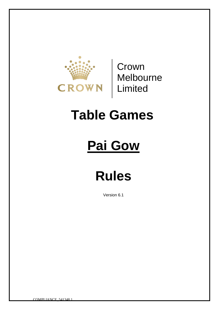

Crown Melbourne **Limited** 

## **Table Games**

# **Pai Gow**

## **Rules**

Version 6.1

COMPLIANCE\_541348.1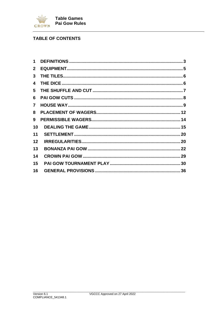

#### **TABLE OF CONTENTS**

| 1              |  |
|----------------|--|
| $\mathbf{2}$   |  |
| 3              |  |
| 4              |  |
| 5              |  |
| 6              |  |
| $\overline{7}$ |  |
| 8              |  |
| 9              |  |
| 10             |  |
| 11             |  |
| 12             |  |
| 13             |  |
| 14             |  |
| 15             |  |
| 16             |  |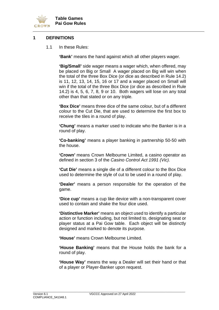

#### <span id="page-2-0"></span>**1 DEFINITIONS**

1.1 In these Rules:

**'Bank'** means the hand against which all other players wager.

**'Big/Small'** side wager means a wager which, when offered, may be placed on Big or Small A wager placed on Big will win when the total of the three Box Dice (or dice as described in Rule 14.2) is 11, 12, 13, 14, 15, 16 or 17 and a wager placed on Small will win if the total of the three Box Dice (or dice as described in Rule 14.2) is 4, 5, 6, 7, 8, 9 or 10. Both wagers will lose on any total other than that stated or on any triple.

**'Box Dice'** means three dice of the same colour, but of a different colour to the Cut Die, that are used to determine the first box to receive the tiles in a round of play.

**'Chung'** means a marker used to indicate who the Banker is in a round of play.

**'Co-banking'** means a player banking in partnership 50-50 with the house.

**'Crown'** means Crown Melbourne Limited, a casino operator as defined in section 3 of the *Casino Control Act 1991 (Vic).*

**'Cut Die'** means a single die of a different colour to the Box Dice used to determine the style of cut to be used in a round of play.

**'Dealer'** means a person responsible for the operation of the game.

**'Dice cup'** means a cup like device with a non-transparent cover used to contain and shake the four dice used.

**'Distinctive Marker'** means an object used to identify a particular action or function including, but not limited to, designating seat or player status at a Pai Gow table. Each object will be distinctly designed and marked to denote its purpose.

**'House'** means Crown Melbourne Limited.

**'House Banking'** means that the House holds the bank for a round of play.

**'House Way'** means the way a Dealer will set their hand or that of a player or Player-Banker upon request.

\_\_\_\_\_\_\_\_\_\_\_\_\_\_\_\_\_\_\_\_\_\_\_\_\_\_\_\_\_\_\_\_\_\_\_\_\_\_\_\_\_\_\_\_\_\_\_\_\_\_\_\_\_\_\_\_\_\_\_\_\_\_\_\_\_\_\_\_\_\_\_\_\_\_\_\_\_\_\_\_\_\_\_\_\_\_\_\_\_\_\_\_\_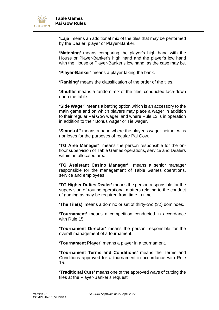

**'Laja'** means an additional mix of the tiles that may be performed by the Dealer, player or Player-Banker.

**'Matching'** means comparing the player's high hand with the House or Player-Banker's high hand and the player's low hand with the House or Player-Banker's low hand, as the case may be.

**'Player-Banker'** means a player taking the bank.

**'Ranking'** means the classification of the order of the tiles.

**'Shuffle'** means a random mix of the tiles, conducted face-down upon the table.

**'Side Wager'** means a betting option which is an accessory to the main game and on which players may place a wager in addition to their regular Pai Gow wager, and where Rule 13 is in operation in addition to their Bonus wager or Tie wager.

**'Stand-off'** means a hand where the player's wager neither wins nor loses for the purposes of regular Pai Gow.

**'TG Area Manager'** means the person responsible for the onfloor supervision of Table Games operations, service and Dealers within an allocated area.

**'TG Assistant Casino Manager'** means a senior manager responsible for the management of Table Games operations, service and employees.

**'TG Higher Duties Dealer'** means the person responsible for the supervision of routine operational matters relating to the conduct of gaming as may be required from time to time.

**'The Tile(s)**' means a domino or set of thirty-two (32) dominoes.

**'Tournament'** means a competition conducted in accordance with Rule 15.

**'Tournament Director'** means the person responsible for the overall management of a tournament.

**'Tournament Player'** means a player in a tournament.

**'Tournament Terms and Conditions'** means the Terms and Conditions approved for a tournament in accordance with Rule 15.

**'Traditional Cuts'** means one of the approved ways of cutting the tiles at the Player-Banker's request.

\_\_\_\_\_\_\_\_\_\_\_\_\_\_\_\_\_\_\_\_\_\_\_\_\_\_\_\_\_\_\_\_\_\_\_\_\_\_\_\_\_\_\_\_\_\_\_\_\_\_\_\_\_\_\_\_\_\_\_\_\_\_\_\_\_\_\_\_\_\_\_\_\_\_\_\_\_\_\_\_\_\_\_\_\_\_\_\_\_\_\_\_\_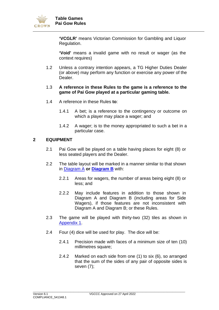

**'VCGLR'** means Victorian Commission for Gambling and Liquor Regulation.

**'Void'** means a invalid game with no result or wager (as the context requires)

1.2 Unless a contrary intention appears, a TG Higher Duties Dealer (or above) may perform any function or exercise any power of the Dealer.

#### 1.3 **A reference in these Rules to the game is a reference to the game of Pai Gow played at a particular gaming table.**

- 1.4 A reference in these Rules **to**:
	- 1.4.1 A bet; is a reference to the contingency or outcome on which a player may place a wager; and
	- 1.4.2 A wager; is to the money appropriated to such a bet in a particular case.

#### <span id="page-4-0"></span>**2 EQUIPMENT**

- 2.1 Pai Gow will be played on a table having places for eight (8) or less seated players and the Dealer.
- 2.2 The table layout will be marked in a manner similar to that shown in [Diagram A](#page-52-0) **or [Diagram B](#page-53-0)** with:
	- 2.2.1 Areas for wagers, the number of areas being eight (8) or less; and
	- 2.2.2 May include features in addition to those shown in Diagram A and Diagram B (including areas for Side Wagers), if those features are not inconsistent with Diagram A and Diagram B; or these Rules.
- 2.3 The game will be played with thirty-two (32) tiles as shown in [Appendix 1.](#page-37-0)
- <span id="page-4-1"></span>2.4 Four (4) dice will be used for play. The dice will be:
	- 2.4.1 Precision made with faces of a minimum size of ten (10) millimetres square;
	- 2.4.2 Marked on each side from one (1) to six (6), so arranged that the sum of the sides of any pair of opposite sides is seven (7);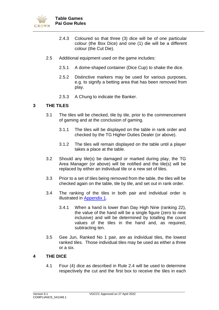

- 2.4.3 Coloured so that three (3) dice will be of one particular colour (the Box Dice) and one (1) die will be a different colour (the Cut Die).
- 2.5 Additional equipment used on the game includes:
	- 2.5.1 A dome-shaped container (Dice Cup) to shake the dice.
	- 2.5.2 Distinctive markers may be used for various purposes, e.g. to signify a betting area that has been removed from play.
	- 2.5.3 A Chung to indicate the Banker.

#### <span id="page-5-0"></span>**3 THE TILES**

- 3.1 The tiles will be checked, tile by tile, prior to the commencement of gaming and at the conclusion of gaming.
	- 3.1.1 The tiles will be displayed on the table in rank order and checked by the TG Higher Duties Dealer (or above).
	- 3.1.2 The tiles will remain displayed on the table until a player takes a place at the table.
- 3.2 Should any tile(s) be damaged or marked during play, the TG Area Manager (or above) will be notified and the tile(s) will be replaced by either an individual tile or a new set of tiles.
- 3.3 Prior to a set of tiles being removed from the table, the tiles will be checked again on the table, tile by tile, and set out in rank order.
- 3.4 The ranking of the tiles in both pair and individual order is illustrated in [Appendix 1.](#page-37-0)
	- 3.4.1 When a hand is lower than Day High Nine (ranking 22), the value of the hand will be a single figure (zero to nine inclusive) and will be determined by totalling the count values of the tiles in the hand and, as required, subtracting ten.
- 3.5 Gee Jun, Ranked No 1 pair, are as individual tiles, the lowest ranked tiles. Those individual tiles may be used as either a three or a six.

#### <span id="page-5-1"></span>**4 THE DICE**

4.1 Four (4) dice as described in Rule [2.4](#page-4-1) will be used to determine respectively the cut and the first box to receive the tiles in each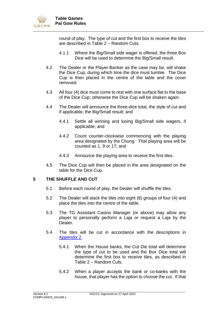

round of play. The type of cut and the first box to receive the tiles are described in Table 2 – [Random Cuts.](#page-7-1)

- 4.1.1 Where the Big/Small side wager is offered, the three Box Dice will be used to determine the Big/Small result.
- 4.2 The Dealer or the Player-Banker as the case may be, will shake the Dice Cup, during which time the dice must tumble. The Dice Cup is then placed in the centre of the table and the cover removed.
- 4.3 All four (4) dice must come to rest with one surface flat to the base of the Dice Cup; otherwise the Dice Cup will be shaken again.
- 4.4 The Dealer will announce the three-dice total, the style of cut and if applicable, the Big/Small result; and
	- 4.4.1 Settle all winning and losing Big/Small side wagers, if applicable; and
	- 4.4.2 Count counter-clockwise commencing with the playing area designated by the Chung. That playing area will be counted as 1, 9 or 17; and
	- 4.4.3 Announce the playing area to receive the first tiles.
- 4.5 The Dice Cup will then be placed in the area designated on the table for the Dice Cup.

#### <span id="page-6-0"></span>**5 THE SHUFFLE AND CUT**

- 5.1 Before each round of play, the Dealer will shuffle the tiles.
- 5.2 The Dealer will stack the tiles into eight (8) groups of four (4) and place the tiles into the centre of the table.
- 5.3 The TG Assistant Casino Manager (or above) may allow any player to personally perform a Laja or request a Laja by the Dealer.
- 5.4 The tiles will be cut in accordance with the descriptions in [Appendix 2.](#page-39-0)
	- 5.4.1 When the House banks, the Cut Die total will determine the type of cut to be used and the Box Dice total will determine the first box to receive tiles, as described in Table 2 – [Random Cuts.](#page-7-1)
	- 5.4.2 When a player accepts the bank or co-banks with the house, that player has the option to choose the cut. If that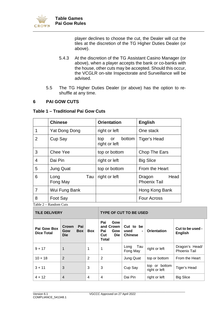

player declines to choose the cut, the Dealer will cut the tiles at the discretion of the TG Higher Duties Dealer (or above).

- 5.4.3 At the discretion of the TG Assistant Casino Manager (or above), when a player accepts the bank or co-banks with the house, other cuts may be accepted. Should this occur, the VCGLR on-site Inspectorate and Surveillance will be advised.
- 5.5 The TG Higher Duties Dealer (or above) has the option to reshuffle at any time.

#### <span id="page-7-0"></span>**6 PAI GOW CUTS**

#### **Table 1 – Traditional Pai Gow Cuts**

|                | <b>Chinese</b>          | <b>Orientation</b>                   | <b>English</b>                        |
|----------------|-------------------------|--------------------------------------|---------------------------------------|
|                | Yat Dong Dong           | right or left                        | One stack                             |
| $\overline{2}$ | Cup Say                 | bottom<br>top<br>or<br>right or left | Tiger's Head                          |
| 3              | Chee Yee                | top or bottom                        | Chop The Ears                         |
| 4              | Dai Pin                 | right or left                        | <b>Big Slice</b>                      |
| 5              | <b>Jung Quat</b>        | top or bottom                        | From the Heart                        |
| 6              | Tau<br>Long<br>Fong May | right or left                        | Head<br>Dragon<br><b>Phoenix Tail</b> |
| 7              | Wui Fung Bank           |                                      | Hong Kong Bank                        |
| 8              | Foot Say                |                                      | <b>Four Across</b>                    |

<span id="page-7-1"></span>Table 2 – Random Cuts

| <b>TILE DELIVERY</b>             |                                                 |                | <b>TYPE OF CUT TO BE USED</b>                                       |                                                       |                                |                                       |
|----------------------------------|-------------------------------------------------|----------------|---------------------------------------------------------------------|-------------------------------------------------------|--------------------------------|---------------------------------------|
| Pai Gow Box<br><b>Dice Total</b> | Pai<br>Crown<br><b>Box</b><br>Gow<br><b>Die</b> | <b>Box</b>     | Pai<br>Gow<br>and Crown<br>Pai<br>Gow<br>Die<br>Cut<br><b>Total</b> | Cut to be<br>used<br>$\blacksquare$<br><b>Chinese</b> | Orientation                    | Cut to be used -<br><b>English</b>    |
| $9 + 17$                         | 1                                               | 1              | 1                                                                   | Tau<br>Long<br>Fong May                               | right or left                  | Dragon's Head/<br><b>Phoenix Tail</b> |
| $10 + 18$                        | 2                                               | $\overline{2}$ | 2                                                                   | Jung Quat                                             | top or bottom                  | From the Heart                        |
| $3 + 11$                         | 3                                               | 3              | 3                                                                   | Cup Say                                               | top or bottom<br>right or left | <b>Tiger's Head</b>                   |
| $4 + 12$                         | $\overline{4}$                                  | $\overline{4}$ | 4                                                                   | Dai Pin                                               | right or left                  | <b>Big Slice</b>                      |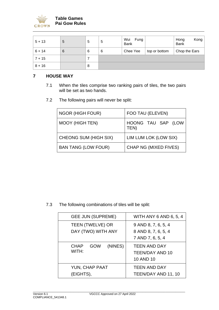

| $5 + 13$ | 5 | 5 | 5 | Wui<br>Fung<br><b>Bank</b> |               | Kong<br>Hong<br><b>Bank</b> |
|----------|---|---|---|----------------------------|---------------|-----------------------------|
| $6 + 14$ | 6 | 6 | 6 | Chee Yee                   | top or bottom | Chop the Ears               |
| $7 + 15$ |   |   |   |                            |               |                             |
| $8 + 16$ |   | 8 |   |                            |               |                             |

#### <span id="page-8-0"></span>**7 HOUSE WAY**

- 7.1 When the tiles comprise two ranking pairs of tiles, the two pairs will be set as two hands.
- 7.2 The following pairs will never be split:

| <b>NGOR (HIGH FOUR)</b>      | FOO TAU (ELEVEN)             |
|------------------------------|------------------------------|
| <b>MOOY (HIGH TEN)</b>       | HOONG TAU SAP (LOW<br>TEN)   |
| <b>CHEONG SUM (HIGH SIX)</b> | LIM LUM LOK (LOW SIX)        |
| <b>BAN TANG (LOW FOUR)</b>   | <b>CHAP NG (MIXED FIVES)</b> |

7.3 The following combinations of tiles will be split:

| <b>GEE JUN (SUPREME)</b>                      | <b>WITH ANY 6 AND 6, 5, 4</b>                                  |
|-----------------------------------------------|----------------------------------------------------------------|
| <b>TEEN (TWELVE) OR</b><br>DAY (TWO) WITH ANY | 9 AND 8, 7, 6, 5, 4<br>8 AND 8, 7, 6, 5, 4<br>7 AND 7, 6, 5, 4 |
| (NINES)<br><b>CHAP</b><br>GOW<br>WITH:        | <b>TEEN AND DAY</b><br>TEEN/DAY AND 10<br>10 AND 10            |
| YUN, CHAP PAAT<br>(EIGHTS),                   | <b>TEEN AND DAY</b><br>TEEN/DAY AND 11, 10                     |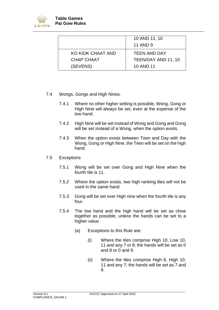

|                   | 10 AND 11, 10       |
|-------------------|---------------------|
|                   | <b>11 AND 9</b>     |
| KO KIOK CHAAT AND | TEEN AND DAY        |
| <b>CHAP CHAAT</b> | TEEN/DAY AND 11, 10 |
| (SEVENS)          | 10 AND 11           |

- 7.4 Wongs, Gongs and High Nines.
	- 7.4.1 Where no other higher setting is possible, Wong, Gong or High Nine will always be set, even at the expense of the low hand.
	- 7.4.2 High Nine will be set instead of Wong and Gong and Gong will be set instead of a Wong, when the option exists.
	- 7.4.3 When the option exists between Teen and Day with the Wong, Gong or High Nine, the Teen will be set on the high hand.
- 7.5 Exceptions
	- 7.5.1 Wong will be set over Gong and High Nine when the fourth tile is 11.
	- 7.5.2 Where the option exists, two high ranking tiles will not be used in the same hand.
	- 7.5.3 Gong will be set over High nine when the fourth tile is any four.
	- 7.5.4 The low hand and the high hand will be set as close together as possible, unless the hands can be set to a higher value.
		- (a) Exceptions to this Rule are:
			- (i) Where the tiles comprise High 10, Low 10, 11 and any 7 or 8; the hands will be set as 0 and 8 or 0 and 9.
			- (ii) Where the tiles comprise High 8, High 10, 11 and any 7; the hands will be set as 7 and 9.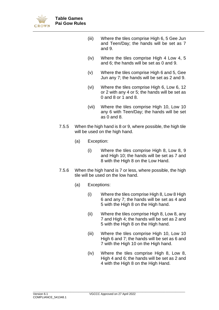

- (iii) Where the tiles comprise High 6, 5 Gee Jun and Teen/Day; the hands will be set as 7 and 9.
- (iv) Where the tiles comprise High 4 Low 4, 5 and 6; the hands will be set as 0 and 9.
- (v) Where the tiles comprise High 6 and 5, Gee Jun any 7; the hands will be set as 2 and 9.
- (vi) Where the tiles comprise High 6, Low 6, 12 or 2 with any 4 or 5; the hands will be set as 0 and 8 or 1 and 8.
- (vii) Where the tiles comprise High 10, Low 10 any 6 with Teen/Day; the hands will be set as  $0$  and  $8$ .
- 7.5.5 When the high hand is 8 or 9, where possible, the high tile will be used on the high hand.
	- (a) Exception:
		- (i) Where the tiles comprise High 8, Low 8, 9 and High 10; the hands will be set as 7 and 8 with the High 8 on the Low Hand.
- 7.5.6 When the high hand is 7 or less, where possible, the high tile will be used on the low hand.
	- (a) Exceptions:
		- (i) Where the tiles comprise High 8, Low 8 High 6 and any 7; the hands will be set as 4 and 5 with the High 8 on the High hand.
		- (ii) Where the tiles comprise High 8, Low 8, any 7 and High 4; the hands will be set as 2 and 5 with the High 8 on the High hand.
		- (iii) Where the tiles comprise High 10, Low 10 High 6 and 7; the hands will be set as 6 and 7 with the High 10 on the High hand.
		- (iv) Where the tiles comprise High 8, Low 8, High 4 and 6; the hands will be set as 2 and 4 with the High 8 on the High Hand.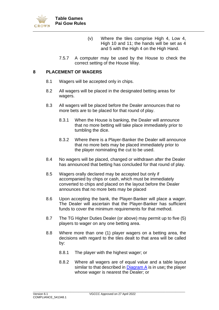

- (v) Where the tiles comprise High 4, Low 4, High 10 and 11; the hands will be set as 4 and 5 with the High 4 on the High Hand.
- 7.5.7 A computer may be used by the House to check the correct setting of the House Way.

#### <span id="page-11-0"></span>**8 PLACEMENT OF WAGERS**

- 8.1 Wagers will be accepted only in chips.
- 8.2 All wagers will be placed in the designated betting areas for wagers.
- <span id="page-11-2"></span>8.3 All wagers will be placed before the Dealer announces that no more bets are to be placed for that round of play.
	- 8.3.1 When the House is banking, the Dealer will announce that no more betting will take place immediately prior to tumbling the dice.
	- 8.3.2 Where there is a Player-Banker the Dealer will announce that no more bets may be placed immediately prior to the player nominating the cut to be used.
- 8.4 No wagers will be placed, changed or withdrawn after the Dealer has announced that betting has concluded for that round of play.
- 8.5 Wagers orally declared may be accepted but only if accompanied by chips or cash, which must be immediately converted to chips and placed on the layout before the Dealer announces that no more bets may be placed
- 8.6 Upon accepting the bank, the Player-Banker will place a wager. The Dealer will ascertain that the Player-Banker has sufficient funds to cover the minimum requirements for that method.
- 8.7 The TG Higher Duties Dealer (or above) may permit up to five (5) players to wager on any one betting area.
- <span id="page-11-1"></span>8.8 Where more than one (1) player wagers on a betting area, the decisions with regard to the tiles dealt to that area will be called by:
	- 8.8.1 The player with the highest wager; or
	- 8.8.2 Where all wagers are of equal value and a table layout similar to that described in [Diagram A](#page-52-0) is in use**;** the player whose wager is nearest the Dealer; or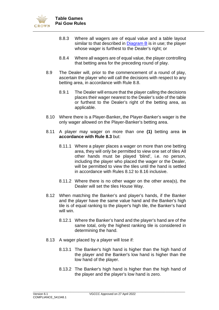

- 8.8.3 Where all wagers are of equal value and a table layout similar to that described in [Diagram B](#page-53-0) is in use; the player whose wager is furthest to the Dealer's right; or
- 8.8.4 Where all wagers are of equal value, the player controlling that betting area for the preceding round of play.
- 8.9 The Dealer will, prior to the commencement of a round of play, ascertain the player who will call the decisions with respect to any betting area, in accordance with Rule [8.8.](#page-11-1)
	- 8.9.1 The Dealer will ensure that the player calling the decisions places their wager nearest to the Dealer's side of the table or furthest to the Dealer's right of the betting area, as applicable.
- 8.10 Where there is a Player-Banker**,** the Player-Banker's wager is the only wager allowed on the Player-Banker's betting area.
- 8.11 A player may wager on more than one **(1)** betting area **in accordance with Rule [8.3](#page-11-2)** but:
	- 8.11.1 Where a player places a wager on more than one betting area, they will only be permitted to view one set of tiles All other hands must be played 'blind', i.e. no person, including the player who placed the wager or the Dealer, will be permitted to view the tiles until the hand is settled in accordance with Rules 8.12 to 8.16 inclusive.
	- 8.11.2 Where there is no other wager on the other area(s), the Dealer will set the tiles House Way.
- 8.12 When matching the Banker's and player's hands, if the Banker and the player have the same value hand and the Banker's high tile is of equal ranking to the player's high tile, the Banker's hand will win.
	- 8.12.1 Where the Banker's hand and the player's hand are of the same total, only the highest ranking tile is considered in determining the hand.
- 8.13 A wager placed by a player will lose if:
	- 8.13.1 The Banker's high hand is higher than the high hand of the player and the Banker's low hand is higher than the low hand of the player.
	- 8.13.2 The Banker's high hand is higher than the high hand of the player and the player's low hand is zero.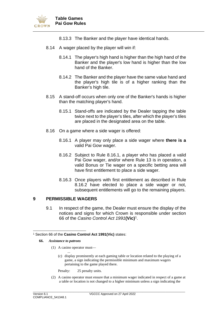

- 8.13.3 The Banker and the player have identical hands.
- 8.14 A wager placed by the player will win if:
	- 8.14.1 The player's high hand is higher than the high hand of the Banker and the player's low hand is higher than the low hand of the Banker.
	- 8.14.2 The Banker and the player have the same value hand and the player's high tile is of a higher ranking than the Banker's high tile.
- 8.15 A stand-off occurs when only one of the Banker's hands is higher than the matching player's hand.
	- 8.15.1 Stand-offs are indicated by the Dealer tapping the table twice next to the player's tiles, after which the player's tiles are placed in the designated area on the table.
- <span id="page-13-2"></span><span id="page-13-1"></span>8.16 On a game where a side wager is offered:
	- 8.16.1 A player may only place a side wager where **there is a**  valid Pai Gow wager.
	- 8.16.2 Subject to Rule [8.16.1,](#page-13-1) a player who has placed a valid Pai Gow wager, and/or where Rule [13](#page-21-0) is in operation, a valid Bonus or Tie wager on a specific betting area will have first entitlement to place a side wager.
	- 8.16.3 Once players with first entitlement as described in Rule [8.16.2](#page-13-2) have elected to place a side wager or not, subsequent entitlements will go to the remaining players.

#### <span id="page-13-0"></span>**9 PERMISSIBLE WAGERS**

9.1 In respect of the game, the Dealer must ensure the display of the notices and signs for which Crown is responsible under section 66 of the *Casino Control Act 1991***(Vic)**[1.](#page-13-3)

- **66.** *Assistance to patrons*
	- (1) A casino operator must—
		- ... (c) display prominently at each gaming table or location related to the playing of a game, a sign indicating the permissible minimum and maximum wagers pertaining to the game played there.
		- Penalty: 25 penalty units.
	- (2) A casino operator must ensure that a minimum wager indicated in respect of a game at a table or location is not changed to a higher minimum unless a sign indicating the

<span id="page-13-3"></span><sup>1</sup> Section 66 of the **Casino Control Act 1991(Vic)** states: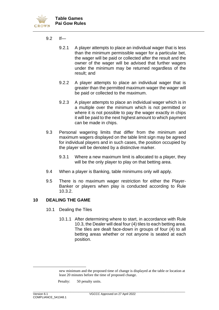

- 9.2 If—
	- 9.2.1 A player attempts to place an individual wager that is less than the minimum permissible wager for a particular bet, the wager will be paid or collected after the result and the owner of the wager will be advised that further wagers under the minimum may be returned regardless of the result; and
	- 9.2.2 A player attempts to place an individual wager that is greater than the permitted maximum wager the wager will be paid or collected to the maximum.
	- 9.2.3 A player attempts to place an individual wager which is in a multiple over the minimum which is not permitted or where it is not possible to pay the wager exactly in chips it will be paid to the next highest amount to which payment can be made in chips.
- 9.3 Personal wagering limits that differ from the minimum and maximum wagers displayed on the table limit sign may be agreed for individual players and in such cases, the position occupied by the player will be denoted by a distinctive marker.
	- 9.3.1 Where a new maximum limit is allocated to a player, they will be the only player to play on that betting area.
- 9.4 When a player is Banking, table minimums only will apply.
- 9.5 There is no maximum wager restriction for either the Player-Banker or players when play is conducted according to Rule [10.3.2.](#page-16-0)

#### <span id="page-14-1"></span><span id="page-14-0"></span>**10 DEALING THE GAME**

- 10.1 Dealing the Tiles
	- 10.1.1 After determining where to start, in accordance with Rule [10.3,](#page-16-1) the Dealer will deal four (4) tiles to each betting area. The tiles are dealt face-down in groups of four (4) to all betting areas whether or not anyone is seated at each position.

new minimum and the proposed time of change is displayed at the table or location at least 20 minutes before the time of proposed change.

Penalty: 50 penalty units.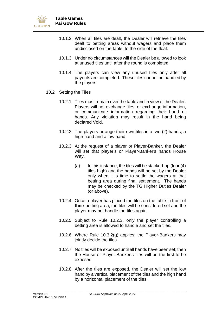<span id="page-15-2"></span>

- 10.1.2 When all tiles are dealt, the Dealer will retrieve the tiles dealt to betting areas without wagers and place them undisclosed on the table, to the side of the float.
- 10.1.3 Under no circumstances will the Dealer be allowed to look at unused tiles until after the round is completed.
- 10.1.4 The players can view any unused tiles only after all payouts are completed. These tiles cannot be handled by the players.
- <span id="page-15-1"></span><span id="page-15-0"></span>10.2 Setting the Tiles
	- 10.2.1 Tiles must remain over the table and in view of the Dealer. Players will not exchange tiles, or exchange information, or communicate information regarding their hand or hands. Any violation may result in the hand being declared Void.
	- 10.2.2 The players arrange their own tiles into two (2) hands; a high hand and a low hand.
	- 10.2.3 At the request of a player or Player-Banker, the Dealer will set that player's or Player-Banker's hands House Way.
		- $(a)$  In this instance, the tiles will be stacked-up (four  $(4)$ ) tiles high) and the hands will be set by the Dealer only when it is time to settle the wagers at that betting area during final settlement. The hands may be checked by the TG Higher Duties Dealer (or above).
	- 10.2.4 Once a player has placed the tiles on the table in front of **their** betting area, the tiles will be considered set and the player may not handle the tiles again.
	- 10.2.5 Subject to Rule [10.2.3,](#page-15-0) only the player controlling a betting area is allowed to handle and set the tiles.
	- 10.2.6 Where Rule [10.3.2\(g\)](#page-17-0) applies; the Player-Bankers may jointly decide the tiles.
	- 10.2.7 No tiles will be exposed until all hands have been set; then the House or Player-Banker's tiles will be the first to be exposed.
	- 10.2.8 After the tiles are exposed, the Dealer will set the low hand by a vertical placement of the tiles and the high hand by a horizontal placement of the tiles.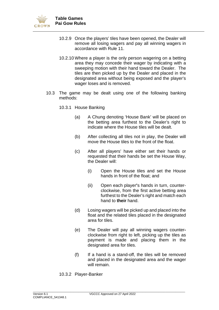

- 10.2.9 Once the players' tiles have been opened, the Dealer will remove all losing wagers and pay all winning wagers in accordance with Rule [11.](#page-19-0)
- 10.2.10 Where a player is the only person wagering on a betting area they may concede their wager by indicating with a sweeping motion with their hand toward the Dealer. The tiles are then picked up by the Dealer and placed in the designated area without being exposed and the player's wager loses and is removed.
- <span id="page-16-1"></span><span id="page-16-0"></span>10.3 The game may be dealt using one of the following banking methods:
	- 10.3.1 House Banking
		- (a) A Chung denoting 'House Bank' will be placed on the betting area furthest to the Dealer's right to indicate where the House tiles will be dealt.
		- (b) After collecting all tiles not in play, the Dealer will move the House tiles to the front of the float.
		- (c) After all players' have either set their hands or requested that their hands be set the House Way, the Dealer will:
			- (i) Open the House tiles and set the House hands in front of the float; and
			- (ii) Open each player**'**s hands in turn, counterclockwise, from the first active betting area furthest to the Dealer's right and match each hand to **their** hand.
		- (d) Losing wagers will be picked up and placed into the float and the related tiles placed in the designated area for tiles.
		- (e) The Dealer will pay all winning wagers counterclockwise from right to left, picking up the tiles as payment is made and placing them in the designated area for tiles.
		- (f) If a hand is a stand-off, the tiles will be removed and placed in the designated area and the wager will remain.
	- 10.3.2 Player-Banker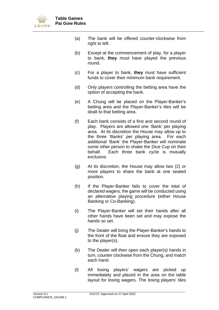

- (a) The bank will be offered counter-clockwise from right to left.
- (b) Except at the commencement of play, for a player to bank, **they** must have played the previous round.
- (c) For a player to bank, **they** must have sufficient funds to cover their minimum bank requirement.
- (d) Only players controlling the betting area have the option of accepting the bank.
- (e) A Chung will be placed on the Player-Banker's betting area and the Player-Banker's tiles will be dealt to that betting area.
- (f) Each bank consists of a first and second round of play. Players are allowed one 'Bank' per playing area. At its discretion the House may allow up to the three 'Banks' per playing area. For each additional 'Bank' the Player-Banker will nominate some other person to shake the Dice Cup on their behalf. Each three bank cycle is mutually exclusive.
- <span id="page-17-0"></span>(g) At its discretion, the House may allow two (2) or more players to share the bank at one seated position.
- (h) If the Player-Banker fails to cover the total of declared wagers, the game will be conducted using an alternative playing procedure (either House Banking or Co-Banking).
- (i) The Player-Banker will set their hands after all other hands have been set and may expose the hands so set.
- (j) The Dealer will bring the Player-Banker's hands to the front of the float and ensure they are exposed to the player(s).
- (k) The Dealer will then open each player(s) hands in turn, counter clockwise from the Chung, and match each hand.
- (l) All losing players' wagers are picked up immediately and placed in the area on the table layout for losing wagers. The losing players' tiles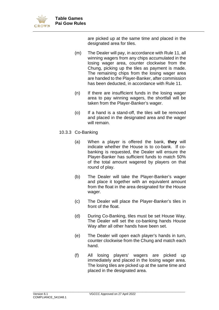

are picked up at the same time and placed in the designated area for tiles.

- (m) The Dealer will pay, in accordance with Rule [11,](#page-19-0) all winning wagers from any chips accumulated in the losing wager area, counter clockwise from the Chung, picking up the tiles as payment is made. The remaining chips from the losing wager area are handed to the Player-Banker, after commission has been deducted, in accordance with Rule [11.](#page-19-0)
- (n) If there are insufficient funds in the losing wager area to pay winning wagers, the shortfall will be taken from the Player-Banker's wager.
- (o) If a hand is a stand-off, the tiles will be removed and placed in the designated area and the wager will remain.
- 10.3.3 Co-Banking
	- (a) When a player is offered the bank, **they** will indicate whether the House is to co-bank. If cobanking is requested, the Dealer will ensure the Player-Banker has sufficient funds to match 50% of the total amount wagered by players on that round of play.
	- (b) The Dealer will take the Player-Banker's wager and place it together with an equivalent amount from the float in the area designated for the House wager.
	- (c) The Dealer will place the Player-Banker's tiles in front of the float.
	- (d) During Co-Banking, tiles must be set House Way. The Dealer will set the co-banking hands House Way after all other hands have been set.
	- (e) The Dealer will open each player's hands in turn, counter clockwise from the Chung and match each hand.
	- (f) All losing players' wagers are picked up immediately and placed in the losing wager area. The losing tiles are picked up at the same time and placed in the designated area.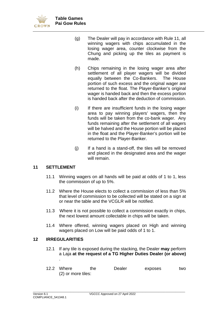

- (g) The Dealer will pay in accordance with Rule [11,](#page-19-0) all winning wagers with chips accumulated in the losing wager area, counter clockwise from the Chung and picking up the tiles as payment is made.
- (h) Chips remaining in the losing wager area after settlement of all player wagers will be divided equally between the Co-Bankers. The House portion of such excess and the original wager are returned to the float. The Player-Banker's original wager is handed back and then the excess portion is handed back after the deduction of commission.
- (i) If there are insufficient funds in the losing wager area to pay winning players' wagers, then the funds will be taken from the co-bank wager. Any funds remaining after the settlement of all wagers will be halved and the House portion will be placed in the float and the Player-Banker's portion will be returned to the Player-Banker.
- (j) If a hand is a stand-off, the tiles will be removed and placed in the designated area and the wager will remain.

#### <span id="page-19-0"></span>**11 SETTLEMENT**

- 11.1 Winning wagers on all hands will be paid at odds of 1 to 1, less the commission of up to 5%.
- 11.2 Where the House elects to collect a commission of less than 5% that level of commission to be collected will be stated on a sign at or near the table and the VCGLR will be notified.
- 11.3 Where it is not possible to collect a commission exactly in chips, the next lowest amount collectable in chips will be taken.
- 11.4 Where offered, winning wagers placed on High and winning wagers placed on Low will be paid odds of 1 to 1.

#### <span id="page-19-1"></span>**12 IRREGULARITIES**

.

12.1 If any tile is exposed during the stacking, the Dealer **may** perform a Laja **at the request of a TG Higher Duties Dealer (or above)** 

| 12.2 Where         | the | Dealer | exposes | two |
|--------------------|-----|--------|---------|-----|
| (2) or more tiles: |     |        |         |     |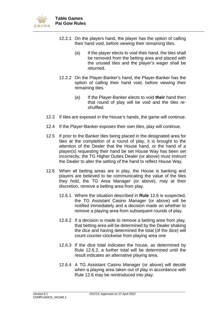

- 12.2.1 On the players hand, the player has the option of calling their hand void, before viewing their remaining tiles.
	- (a) If the player elects to void their hand, the tiles shall be removed from the betting area and placed with the unused tiles and the player's wager shall be returned.
- 12.2.2 On the Player-Banker's hand, the Player-Banker has the option of calling their hand void, before viewing their remaining tiles.
	- (a) If the Player-Banker elects to void **their** hand then that round of play will be void and the tiles reshuffled.
- 12.3 If tiles are exposed in the House's hands, the game will continue.
- 12.4 If the Player-Banker exposes their own tiles, play will continue.
- 12.5 If prior to the Banker tiles being placed in the designated area for tiles at the completion of a round of play, it is brought to the attention of the Dealer that the House hand, or the hand of a player(s) requesting their hand be set House Way has been set incorrectly, the TG Higher Duties Dealer (or above) must instruct the Dealer to alter the setting of the hand to reflect House Way.
- <span id="page-20-1"></span><span id="page-20-0"></span>12.6 When all betting areas are in play, the House is banking and players are believed to be communicating the value of the tiles they hold, the TG Area Manager (or above), may at their discretion, remove a betting area from play.
	- 12.6.1 Where the situation described in **Rule** [12.6](#page-20-0) is suspected, the TG Assistant Casino Manager (or above) will be notified immediately and a decision made on whether to remove a playing area from subsequent rounds of play.
	- 12.6.2 If a decision is made to remove a betting area from play, that betting area will be determined by the Dealer shaking the dice and having determined the total (of the dice) will count counter-clockwise from playing area one
	- 12.6.3 If the dice total indicates the house, as determined by Rule [12.6.2,](#page-20-1) a further total will be determined until the result indicates an alternative playing area.
	- 12.6.4 A TG Assistant Casino Manager (or above) will decide when a playing area taken out of play in accordance with Rule [12.6](#page-20-0) may be reintroduced into play.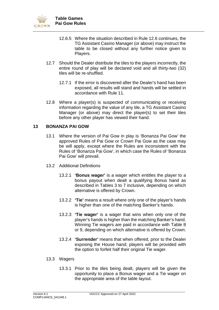

- 12.6.5 Where the situation described in Rule [12.6](#page-20-0) continues, the TG Assistant Casino Manager (or above) may instruct the table to be closed without any further notice given to Players.
- 12.7 Should the Dealer distribute the tiles to the players incorrectly, the entire round of play will be declared void and all thirty-two (32) tiles will be re-shuffled.
	- 12.7.1 If the error is discovered after the Dealer's hand has been exposed, all results will stand and hands will be settled in accordance with Rule 11.
- 12.8 Where a player(s) is suspected of communicating or receiving information regarding the value of any tile, a TG Assistant Casino Manager (or above) may direct the player(s) to set their tiles before any other player has viewed their hand.

#### <span id="page-21-0"></span>**13 BONANZA PAI GOW**

- 13.1 Where the version of Pai Gow in play is 'Bonanza Pai Gow' the approved Rules of Pai Gow or Crown Pai Gow as the case may be will apply, except where the Rules are inconsistent with the Rules of 'Bonanza Pai Gow', in which case the Rules of 'Bonanza Pai Gow' will prevail.
- 13.2 Additional Definitions
	- 13.2.1 **'Bonus wager'** is a wager which entitles the player to a bonus payout when dealt a qualifying Bonus hand as described in Tables 3 to 7 inclusive, depending on which alternative is offered by Crown.
	- 13.2.2 **'Tie'** means a result where only one of the player's hands is higher than one of the matching Banker's hands.
	- 13.2.3 **'Tie wager'** is a wager that wins when only one of the player's hands is higher than the matching Banker's hand. Winning Tie wagers are paid in accordance with Table 8 or 9, depending on which alternative is offered by Crown.
	- 13.2.4 **'Surrender'** means that when offered, prior to the Dealer exposing the House hand; players will be provided with the option to forfeit half their original Tie wager.

#### 13.3 Wagers

13.3.1 Prior to the tiles being dealt, players will be given the opportunity to place a Bonus wager and a Tie wager on the appropriate area of the table layout.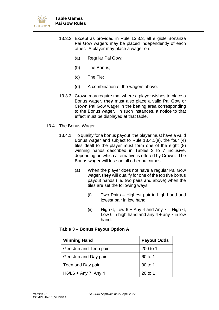

- 13.3.2 Except as provided in Rule [13.3.3,](#page-22-0) all eligible Bonanza Pai Gow wagers may be placed independently of each other. A player may place a wager on:
	- (a) Regular Pai Gow;
	- (b) The Bonus;
	- (c) The Tie;
	- (d) A combination of the wagers above.
- <span id="page-22-0"></span>13.3.3 Crown may require that where a player wishes to place a Bonus wager, **they** must also place a valid Pai Gow or Crown Pai Gow wager in the betting area corresponding to the Bonus wager. In such instances, a notice to that effect must be displayed at that table.
- <span id="page-22-1"></span>13.4 The Bonus Wager
	- 13.4.1 To qualify for a bonus payout, the player must have a valid Bonus wager and subject to Rule [13.4.1\(a\),](#page-22-1) the four (4) tiles dealt to the player must form one of the eight (8) winning hands described in Tables 3 to 7 inclusive, depending on which alternative is offered by Crown. The Bonus wager will lose on all other outcomes.
		- (a) When the player does not have a regular Pai Gow wager, **they** will qualify for one of the top five bonus payout hands (i.e. two pairs and above) when the tiles are set the following ways:
			- (i) Two Pairs Highest pair in high hand and lowest pair in low hand.
			- (ii) High 6, Low  $6 +$  Any 4 and Any  $7 -$  High 6, Low 6 in high hand and any  $4 + any 7$  in low hand.

#### **Table 3 – Bonus Payout Option A**

| <b>Winning Hand</b>   | <b>Payout Odds</b> |
|-----------------------|--------------------|
| Gee-Jun and Teen pair | 200 to 1           |
| Gee-Jun and Day pair  | 60 to 1            |
| Teen and Day pair     | 30 to 1            |
| H6/L6 + Any 7, Any 4  | $20$ to 1          |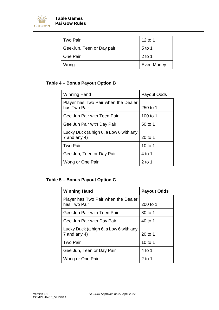

| <b>Two Pair</b>           | 12 to 1    |
|---------------------------|------------|
| Gee-Jun, Teen or Day pair | 5 to 1     |
| One Pair                  | $2$ to 1   |
| Wong                      | Even Money |

### **Table 4 – Bonus Payout Option B**

| <b>Winning Hand</b>                                    | Payout Odds |
|--------------------------------------------------------|-------------|
| Player has Two Pair when the Dealer<br>has Two Pair    | 250 to 1    |
| Gee Jun Pair with Teen Pair                            | 100 to 1    |
| Gee Jun Pair with Day Pair                             | 50 to 1     |
| Lucky Duck (a high 6, a Low 6 with any<br>7 and any 4) | $20$ to 1   |
| <b>Two Pair</b>                                        | 10 to 1     |
| Gee Jun, Teen or Day Pair                              | 4 to 1      |
| Wong or One Pair                                       | $2$ to 1    |

#### **Table 5 – Bonus Payout Option C**

| <b>Winning Hand</b>                                    | <b>Payout Odds</b> |
|--------------------------------------------------------|--------------------|
| Player has Two Pair when the Dealer<br>has Two Pair    | 200 to 1           |
| Gee Jun Pair with Teen Pair                            | 80 to 1            |
| Gee Jun Pair with Day Pair                             | 40 to 1            |
| Lucky Duck (a high 6, a Low 6 with any<br>7 and any 4) | 20 to 1            |
| <b>Two Pair</b>                                        | 10 to 1            |
| Gee Jun, Teen or Day Pair                              | 4 to 1             |
| Wong or One Pair                                       | $2$ to 1           |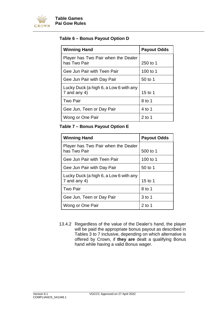

#### **Table 6 – Bonus Payout Option D**

| <b>Winning Hand</b>                                    | <b>Payout Odds</b> |
|--------------------------------------------------------|--------------------|
| Player has Two Pair when the Dealer<br>has Two Pair    | 250 to 1           |
| Gee Jun Pair with Teen Pair                            | 100 to 1           |
| Gee Jun Pair with Day Pair                             | 50 to 1            |
| Lucky Duck (a high 6, a Low 6 with any<br>7 and any 4) | 15 to 1            |
| <b>Two Pair</b>                                        | 8 to 1             |
| Gee Jun, Teen or Day Pair                              | 4 to 1             |
| Wong or One Pair                                       | $2$ to 1           |

#### **Table 7 – Bonus Payout Option E**

| <b>Winning Hand</b>                                    | <b>Payout Odds</b> |
|--------------------------------------------------------|--------------------|
| Player has Two Pair when the Dealer<br>has Two Pair    | 500 to 1           |
| Gee Jun Pair with Teen Pair                            | 100 to 1           |
| Gee Jun Pair with Day Pair                             | $50$ to 1          |
| Lucky Duck (a high 6, a Low 6 with any<br>7 and any 4) | 15 to 1            |
| Two Pair                                               | 8 to 1             |
| Gee Jun, Teen or Day Pair                              | $3$ to 1           |
| Wong or One Pair                                       | $2$ to 1           |

13.4.2 Regardless of the value of the Dealer's hand, the player will be paid the appropriate bonus payout as described in Tables 3 to 7 inclusive, depending on which alternative is offered by Crown, if **they are** dealt a qualifying Bonus hand while having a valid Bonus wager.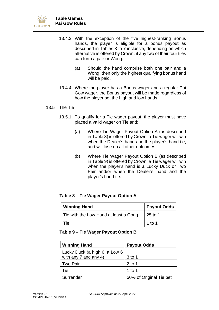

- 13.4.3 With the exception of the five highest-ranking Bonus hands, the player is eligible for a bonus payout as described in Tables 3 to 7 inclusive, depending on which alternative is offered by Crown, if any two of their four tiles can form a pair or Wong.
	- (a) Should the hand comprise both one pair and a Wong, then only the highest qualifying bonus hand will be paid.
- 13.4.4 Where the player has a Bonus wager and a regular Pai Gow wager, the Bonus payout will be made regardless of how the player set the high and low hands.

#### 13.5 The Tie

- 13.5.1 To qualify for a Tie wager payout, the player must have placed a valid wager on Tie and:
	- (a) Where Tie Wager Payout Option A (as described in Table 8) is offered by Crown, a Tie wager will win when the Dealer's hand and the player's hand tie, and will lose on all other outcomes.
	- (b) Where Tie Wager Payout Option B (as described in Table 9) is offered by Crown, a Tie wager will win when the player's hand is a Lucky Duck or Two Pair and/or when the Dealer's hand and the player's hand tie.

#### **Table 8 – Tie Wager Payout Option A**

| <b>Winning Hand</b>                   | <b>Payout Odds</b> |
|---------------------------------------|--------------------|
| Tie with the Low Hand at least a Gong | 25 to 1            |
| l ie                                  | $1$ to 1           |

#### **Table 9 – Tie Wager Payout Option B**

| <b>Winning Hand</b>                                    | <b>Payout Odds</b>      |
|--------------------------------------------------------|-------------------------|
| Lucky Duck (a high 6, a Low 6<br>with any 7 and any 4) | 3 to 1                  |
| <b>Two Pair</b>                                        | $2$ to 1                |
| Tie                                                    | 1 to 1                  |
| Surrender                                              | 50% of Original Tie bet |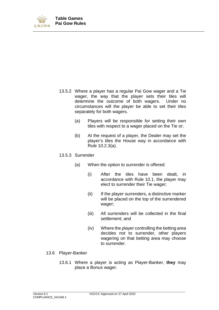

- 13.5.2 Where a player has a regular Pai Gow wager and a Tie wager, the way that the player sets their tiles will determine the outcome of both wagers. Under no circumstances will the player be able to set their tiles separately for both wagers.
	- (a) Players will be responsible for setting their own tiles with respect to a wager placed on the Tie or;
	- (b) At the request of a player, the Dealer may set the player's tiles the House way in accordance with Rule [10.2.3\(a\).](#page-15-1)
- 13.5.3 Surrender
	- (a) When the option to surrender is offered:
		- (i) After the tiles have been dealt, in accordance with Rule [10.1,](#page-14-1) the player may elect to surrender their Tie wager;
		- (ii) If the player surrenders, a distinctive marker will be placed on the top of the surrendered wager;
		- (iii) All surrenders will be collected in the final settlement; and
		- (iv) Where the player controlling the betting area decides not to surrender, other players wagering on that betting area may choose to surrender.
- 13.6 Player-Banker
	- 13.6.1 Where a player is acting as Player-Banker, **they** may place a Bonus wager.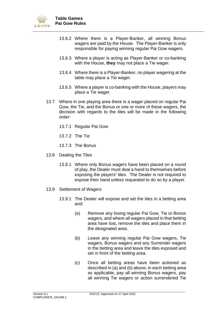

- 13.6.2 Where there is a Player-Banker, all winning Bonus wagers are paid by the House. The Player-Banker is only responsible for paying winning regular Pai Gow wagers.
- 13.6.3 Where a player is acting as Player-Banker or co-banking with the House, **they** may not place a Tie wager.
- 13.6.4 Where there is a Player-Banker, no player wagering at the table may place a Tie wager.
- 13.6.5 Where a player is co-banking with the House, players may place a Tie wager.
- 13.7 Where in one playing area there is a wager placed on regular Pai Gow, the Tie, and the Bonus or one or more of these wagers, the decision with regards to the tiles will be made in the following order:
	- 13.7.1 Regular Pai Gow
	- 13.7.2 The Tie
	- 13.7.3 The Bonus
- 13.8 Dealing the Tiles
	- 13.8.1 Where only Bonus wagers have been placed on a round of play, the Dealer must deal a hand to themselves before exposing the players**'** tiles. The Dealer is not required to expose their hand unless requested to do so by a player.
- 13.9 Settlement of Wagers
	- 13.9.1 The Dealer will expose and set the tiles in a betting area and:
		- (a) Remove any losing regular Pai Gow, Tie or Bonus wagers, and where all wagers placed in that betting area have lost, remove the tiles and place them in the designated area.
		- (b) Leave any winning regular Pai Gow wagers, Tie wagers, Bonus wagers and any Surrender wagers in the betting area and leave the tiles exposed and set in front of the betting area.
		- (c) Once all betting areas have been actioned as described in (a) and (b) above; in each betting area as applicable, pay all winning Bonus wagers, pay all winning Tie wagers or action surrendered Tie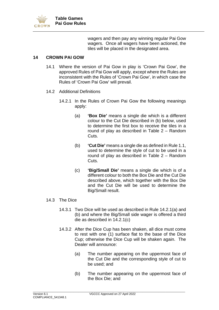

wagers and then pay any winning regular Pai Gow wagers. Once all wagers have been actioned, the tiles will be placed in the designated area.

#### <span id="page-28-0"></span>**14 CROWN PAI GOW**

- 14.1 Where the version of Pai Gow in play is 'Crown Pai Gow', the approved Rules of Pai Gow will apply, except where the Rules are inconsistent with the Rules of 'Crown Pai Gow', in which case the Rules of 'Crown Pai Gow' will prevail.
- <span id="page-28-1"></span>14.2 Additional Definitions
	- 14.2.1 In the Rules of Crown Pai Gow the following meanings apply:
		- (a) **'Box Die'** means a single die which is a different colour to the Cut Die described in (b) below, used to determine the first box to receive the tiles in a round of play as described in [Table 2 –](#page-7-1) Random [Cuts.](#page-7-1)
		- (b) **'Cut Die'** means a single die as defined in Rule 1.1, used to determine the style of cut to be used in a round of play as described in [Table 2 –](#page-7-1) Random [Cuts.](#page-7-1)
		- (c) **'Big/Small Die'** means a single die which is of a different colour to both the Box Die and the Cut Die described above, which together with the Box Die and the Cut Die will be used to determine the Big/Small result.

#### <span id="page-28-2"></span>14.3 The Dice

- 14.3.1 Two Dice will be used as described in Rule [14.2.1\(a\)](#page-28-1) and (b) and where the Big/Small side wager is offered a third die as described in [14.2.1\(c\)](#page-28-2)
- 14.3.2 After the Dice Cup has been shaken, all dice must come to rest with one (1) surface flat to the base of the Dice Cup; otherwise the Dice Cup will be shaken again. The Dealer will announce:
	- (a) The number appearing on the uppermost face of the Cut Die and the corresponding style of cut to be used; and
	- (b) The number appearing on the uppermost face of the Box Die; and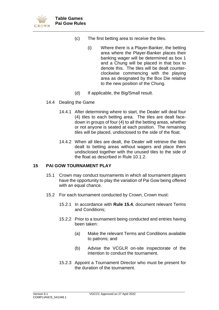

- (c) The first betting area to receive the tiles.
	- (i) Where there is a Player-Banker, the betting area where the Player-Banker places their banking wager will be determined as box 1 and a Chung will be placed in that box to denote this. The tiles will be dealt counterclockwise commencing with the playing area as designated by the Box Die relative to the new position of the Chung.
- (d) If applicable, the Big/Small result.
- 14.4 Dealing the Game
	- 14.4.1 After determining where to start, the Dealer will deal four (4) tiles to each betting area. The tiles are dealt facedown in groups of four (4) to all the betting areas, whether or not anyone is seated at each position. The remaining tiles will be placed, undisclosed to the side of the float.
	- 14.4.2 When all tiles are dealt, the Dealer will retrieve the tiles dealt to betting areas without wagers and place them undisclosed together with the unused tiles to the side of the float as described in Rule [10.1.2.](#page-15-2)

#### <span id="page-29-0"></span>**15 PAI GOW TOURNAMENT PLAY**

- 15.1 Crown may conduct tournaments in which all tournament players have the opportunity to play the variation of Pai Gow being offered with an equal chance.
- <span id="page-29-1"></span>15.2 For each tournament conducted by Crown, Crown must:
	- 15.2.1 In accordance with **Rule [15.4](#page-30-0)**, document relevant Terms and Conditions;
	- 15.2.2 Prior to a tournament being conducted and entries having been taken:
		- (a) Make the relevant Terms and Conditions available to patrons; and
		- (b) Advise the VCGLR on-site inspectorate of the intention to conduct the tournament.
	- 15.2.3 Appoint a Tournament Director who must be present for the duration of the tournament.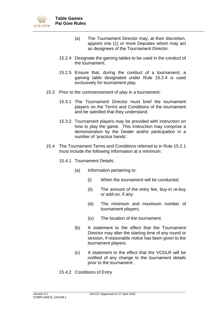

- (a) The Tournament Director may, at their discretion, appoint one (1) or more Deputies whom may act as designees of the Tournament Director.
- <span id="page-30-1"></span>15.2.4 Designate the gaming tables to be used in the conduct of the tournament.
- 15.2.5 Ensure that, during the conduct of a tournament, a gaming table designated under Rule [15.2.4](#page-30-1) is used exclusively for tournament play.
- 15.3 Prior to the commencement of play in a tournament:
	- 15.3.1 The Tournament Director must brief the tournament players on the Terms and Conditions of the tournament and be satisfied that they understand.
	- 15.3.2 Tournament players may be provided with instruction on how to play the game. This instruction may comprise a demonstration by the Dealer and/or participation in a number of 'practice hands'.
- <span id="page-30-0"></span>15.4 The Tournament Terms and Conditions referred to in Rule [15.2.1](#page-29-1) must include the following information at a minimum:
	- 15.4.1 Tournament Details:
		- (a) Information pertaining to:
			- (i) When the tournament will be conducted.
			- (ii) The amount of the entry fee, buy-in re-buy or add-on, if any.
			- (iii) The minimum and maximum number of tournament players.
			- (iv) The location of the tournament.
		- (b) A statement to the effect that the Tournament Director may alter the starting time of any round or session, if reasonable notice has been given to the tournament players.
		- (c) A statement to the effect that the VCGLR will be notified of any change to the tournament details prior to the tournament.
	- 15.4.2 Conditions of Entry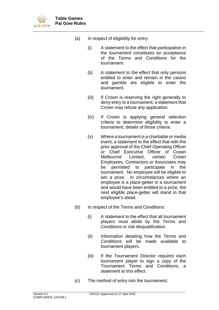

- (a) In respect of eligibility for entry:
	- (i) A statement to the effect that participation in the tournament constitutes an acceptance of the Terms and Conditions for the tournament.
	- (ii) A statement to the effect that only persons entitled to enter and remain in the casino and gamble are eligible to enter the tournament.
	- (iii) If Crown is reserving the right generally to deny entry to a tournament, a statement that Crown may refuse any application.
	- (iv) If Crown is applying general selection criteria to determine eligibility to enter a tournament, details of those criteria.
	- (v) Where a tournament is a charitable or media event, a statement to the effect that with the prior approval of the Chief Operating Officer or Chief Executive Officer of Crown Melbourne Limited, certain Crown Employees, Contractors or Associates may be permitted to participate in the tournament. No employee will be eligible to win a prize. In circumstances where an employee is a place-getter in a tournament and would have been entitled to a prize, the next eligible place-getter will stand in that employee's stead.
- (b) In respect of the Terms and Conditions:
	- (i) A statement to the effect that all tournament players must abide by the Terms and Conditions or risk disqualification.
	- (ii) Information detailing how the Terms and Conditions will be made available to tournament players.
	- (iii) If the Tournament Director requires each tournament player to sign a copy of the Tournament Terms and Conditions, a statement to this effect.
- (c) The method of entry into the tournament;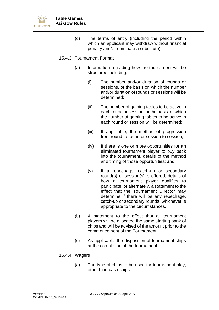

- (d) The terms of entry (including the period within which an applicant may withdraw without financial penalty and/or nominate a substitute).
- 15.4.3 Tournament Format
	- (a) Information regarding how the tournament will be structured including:
		- (i) The number and/or duration of rounds or sessions, or the basis on which the number and/or duration of rounds or sessions will be determined;
		- (ii) The number of gaming tables to be active in each round or session, or the basis on which the number of gaming tables to be active in each round or session will be determined;
		- (iii) If applicable, the method of progression from round to round or session to session;
		- (iv) If there is one or more opportunities for an eliminated tournament player to buy back into the tournament, details of the method and timing of those opportunities; and
		- (v) If a repechage, catch-up or secondary round(s) or session(s) is offered, details of how a tournament player qualifies to participate, or alternately, a statement to the effect that the Tournament Director may determine if there will be any repechage, catch-up or secondary rounds, whichever is appropriate to the circumstances.
	- (b) A statement to the effect that all tournament players will be allocated the same starting bank of chips and will be advised of the amount prior to the commencement of the Tournament.
	- (c) As applicable, the disposition of tournament chips at the completion of the tournament.

#### 15.4.4 Wagers

(a) The type of chips to be used for tournament play, other than cash chips.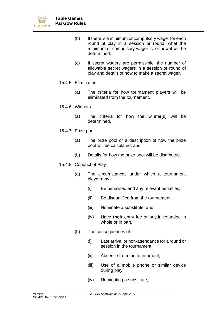

- (b) If there is a minimum or compulsory wager for each round of play in a session or round, what the minimum or compulsory wager is, or how it will be determined.
- (c) If secret wagers are permissible, the number of allowable secret wagers in a session or round of play and details of how to make a secret wager.
- 15.4.5 Elimination
	- (a) The criteria for how tournament players will be eliminated from the tournament.
- 15.4.6 Winners
	- (a) The criteria for how the winner(s) will be determined.
- 15.4.7 Prize pool
	- (a) The prize pool or a description of how the prize pool will be calculated; and
	- (b) Details for how the prize pool will be distributed.
- 15.4.8 Conduct of Play
	- (a) The circumstances under which a tournament player may:
		- (i) Be penalised and any relevant penalties;
		- (ii) Be disqualified from the tournament;
		- (iii) Nominate a substitute; and
		- (iv) Have **their** entry fee or buy-in refunded in whole or in part.
	- (b) The consequences of:
		- (i) Late arrival or non-attendance for a round or session in the tournament;
		- (ii) Absence from the tournament;
		- (iii) Use of a mobile phone or similar device during play;
		- (iv) Nominating a substitute;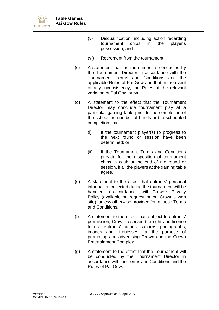

- (v) Disqualification, including action regarding tournament chips in the player's possession; and
- (vi) Retirement from the tournament.
- (c) A statement that the tournament is conducted by the Tournament Director in accordance with the Tournament Terms and Conditions and the applicable Rules of Pai Gow and that in the event of any inconsistency, the Rules of the relevant variation of Pai Gow prevail.
- (d) A statement to the effect that the Tournament Director may conclude tournament play at a particular gaming table prior to the completion of the scheduled number of hands or the scheduled completion time:
	- (i) If the tournament player(s) to progress to the next round or session have been determined; or
	- (ii) If the Tournament Terms and Conditions provide for the disposition of tournament chips in cash at the end of the round or session, if all the players at the gaming table agree.
- (e) A statement to the effect that entrants' personal information collected during the tournament will be handled in accordance with Crown's Privacy Policy (available on request or on Crown's web site), unless otherwise provided for in these Terms and Conditions.
- (f) A statement to the effect that, subject to entrants' permission, Crown reserves the right and license to use entrants' names, suburbs, photographs, images and likenesses for the purpose of promoting and advertising Crown and the Crown Entertainment Complex.
- (g) A statement to the effect that the Tournament will be conducted by the Tournament Director in accordance with the Terms and Conditions and the Rules of Pai Gow.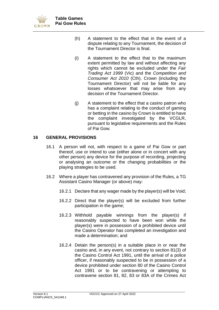

- (h) A statement to the effect that in the event of a dispute relating to any Tournament, the decision of the Tournament Director is final.
- (i) A statement to the effect that to the maximum extent permitted by law and without affecting any rights which cannot be excluded under the *Fair Trading Act 1999* (Vic) and the *Competition and Consumer Act 2010* (Cth), Crown (including the Tournament Director) will not be liable for any losses whatsoever that may arise from any decision of the Tournament Director.
- (j) A statement to the effect that a casino patron who has a complaint relating to the conduct of gaming or betting in the casino by Crown is entitled to have the complaint investigated by the VCGLR, pursuant to legislative requirements and the Rules of Pai Gow.

#### <span id="page-35-0"></span>**16 GENERAL PROVISIONS**

- 16.1 A person will not, with respect to a game of Pai Gow or part thereof, use or intend to use (either alone or in concert with any other person) any device for the purpose of recording, projecting or analysing an outcome or the changing probabilities or the playing strategies to be used.
- 16.2 Where a player has contravened any provision of the Rules, a TG Assistant Casino Manager (or above) may:
	- 16.2.1 Declare that any wager made by the player(s) will be Void;
	- 16.2.2 Direct that the player(s) will be excluded from further participation in the game;
	- 16.2.3 Withhold payable winnings from the player(s) if reasonably suspected to have been won while the player(s) were in possession of a prohibited device until the Casino Operator has completed an investigation and made a determination; and
	- 16.2.4 Detain the person(s) in a suitable place in or near the casino and, in any event, not contrary to section 81(3) of the Casino Control Act 1991, until the arrival of a police officer, if reasonably suspected to be in possession of a device prohibited under section 80 of the Casino Control Act 1991 or to be contravening or attempting to contravene section 81, 82, 83 or 83A of the Crimes Act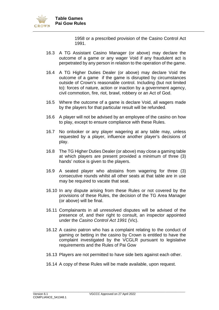

1958 or a prescribed provision of the Casino Control Act 1991.

- 16.3 A TG Assistant Casino Manager (or above) may declare the outcome of a game or any wager Void if any fraudulent act is perpetrated by any person in relation to the operation of the game.
- 16.4 A TG Higher Duties Dealer (or above) may declare Void the outcome of a game if the game is disrupted by circumstances outside of Crown's reasonable control. Including (but not limited to): forces of nature, action or inaction by a government agency, civil commotion, fire, riot, brawl, robbery or an Act of God.
- 16.5 Where the outcome of a game is declare Void, all wagers made by the players for that particular result will be refunded.
- 16.6 A player will not be advised by an employee of the casino on how to play, except to ensure compliance with these Rules.
- 16.7 No onlooker or any player wagering at any table may, unless requested by a player, influence another player's decisions of play.
- 16.8 The TG Higher Duties Dealer (or above) may close a gaming table at which players are present provided a minimum of three (3) hands' notice is given to the players.
- 16.9 A seated player who abstains from wagering for three (3) consecutive rounds whilst all other seats at that table are in use may be required to vacate that seat.
- 16.10 In any dispute arising from these Rules or not covered by the provisions of these Rules, the decision of the TG Area Manager (or above) will be final.
- 16.11 Complainants in all unresolved disputes will be advised of the presence of, and their right to consult, an inspector appointed under the *Casino Control Act 1991* (Vic).
- 16.12 A casino patron who has a complaint relating to the conduct of gaming or betting in the casino by Crown is entitled to have the complaint investigated by the VCGLR pursuant to legislative requirements and the Rules of Pai Gow
- 16.13 Players are not permitted to have side bets against each other.
- 16.14 A copy of these Rules will be made available, upon request.

\_\_\_\_\_\_\_\_\_\_\_\_\_\_\_\_\_\_\_\_\_\_\_\_\_\_\_\_\_\_\_\_\_\_\_\_\_\_\_\_\_\_\_\_\_\_\_\_\_\_\_\_\_\_\_\_\_\_\_\_\_\_\_\_\_\_\_\_\_\_\_\_\_\_\_\_\_\_\_\_\_\_\_\_\_\_\_\_\_\_\_\_\_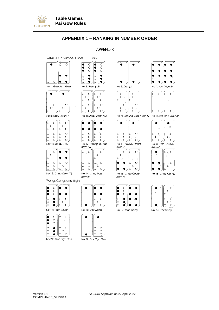<span id="page-37-0"></span>

**RANKING in Number Order** 

O  $\subset$ 

#### **APPENDIX 1 – RANKING IN NUMBER ORDER**

APPENDIX 1

 $\bullet$  $\bullet$ |O |  $\circ$  $\bullet$  $\bullet$ No 1: Gee Jun (Gee)  $\bullet$  $\bullet$  $\subset$  $\subset$  $\circ$  $\circ$ |0 Ō No 5: Ngor (High 4) ि  $\overline{\circ}$  $\overline{\circ}$  $\overline{\circ}$  $\circ$  $\bigcirc$ |0  $\circ$  $\overline{O}$  $\bigcirc$  $\log$  $\begin{array}{c}\n0 \\
0\n\end{array}$ lo  $\circ$  $\overline{a}$  $\overline{\circ}$  $\circ$  $\overline{O}$ No 9: Foo Tau (11)  $\overline{\circ}$ o  $\overline{\bullet}$  $\circ$ 10  $\bullet$ ٠  $\frac{1}{2}$  $\circ$  $\circ$  $\circ$  $\overline{\circ}$  $\circ$  $\circ$  $\circ$ Ö  $\circ$ No 13: Chap Gow (9)

> $\circ$ ۰

 $\circ$  $\bullet$ 

 $\bullet$ 

 $\bullet$ 

 $\overline{O}$  $\overline{\circ}$ 

 $\bullet$ 

 $\bullet$  $\circ$  $\bigcirc$ 

No 21: Teen High Nine

 $\bullet$ 

|0

 $\circ$ 

 $\circlearrowright$ 

 $\circ$ 

 $\bullet$  $\circ$ 

 $\frac{1}{\sqrt{2}}$ 

 $\bullet \bullet$  $\circ$ lo  $\circ$ 

 $\frac{1}{\sqrt{2}}$  $\bullet$ 0  $\circ$ 



 $\overline{O}\overline{O}$ 

 $\bullet$ lo  $\bullet$ 

lo

 $\frac{1}{2}$ 



Pairs

l.  $\bigcap$ 

 $\overline{O}$ i. ō





 $[Low 8]$ 

 $\bullet$ 

 $\overline{O}$ 

 $\circ$ 

Ó

 $\bullet$  $\bullet$ 



¢









No 7: Cheung Sum (High 6)



 $\circ$  $\bigcirc$  $\dot{N}$  $\circ$  $\circ$ ٠  $\circ$  $\circ$  $\circ$ le

No 15: Chap Chaat  $[Low 7]$ 



No 19: Teen Gong



 $\overline{a}$ 

No 8: Ban Tang (Low 4)





No 16: Chap Ng (5)



No 20: Day Gong

No 6: Mooy (High 10)

 $[Low 10]$ 

No 14: Chap Paat

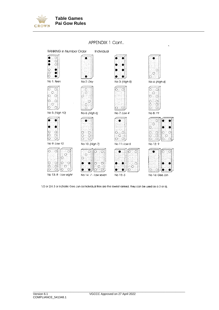





1/2 or 2/4 3 or 6 (Note: Gee Jun as individual tiles are the lowest ranked, they can be used as a 3 or 6).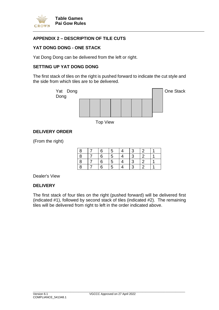

#### <span id="page-39-0"></span>**APPENDIX 2 – DESCRIPTION OF TILE CUTS**

#### **YAT DONG DONG - ONE STACK**

Yat Dong Dong can be delivered from the left or right.

#### **SETTING UP YAT DONG DONG**

The first stack of tiles on the right is pushed forward to indicate the cut style and the side from which tiles are to be delivered.



Top View

#### **DELIVERY ORDER**

(From the right)

| 8 | 6 | 5 |   | 3 |  |
|---|---|---|---|---|--|
| 8 | 6 | 5 | 4 | 3 |  |
| 8 | 6 | 5 |   | 3 |  |
| 8 | 6 | 5 |   | 3 |  |

Dealer's View

#### **DELIVERY**

The first stack of four tiles on the right (pushed forward) will be delivered first (indicated #1), followed by second stack of tiles (indicated #2). The remaining tiles will be delivered from right to left in the order indicated above.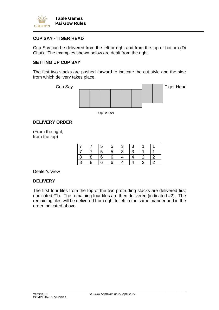

#### **CUP SAY - TIGER HEAD**

Cup Say can be delivered from the left or right and from the top or bottom (Di Chut). The examples shown below are dealt from the right.

#### **SETTING UP CUP SAY**

The first two stacks are pushed forward to indicate the cut style and the side from which delivery takes place.



Top View

#### **DELIVERY ORDER**

(From the right, from the top)

|   |   | 5 | 5 | 3 | 3 |   |
|---|---|---|---|---|---|---|
|   |   | 5 | 5 | 3 | 3 |   |
| 8 | 8 | 6 | 6 | 4 |   | 2 |
| ጸ | 8 | 6 | 6 |   |   | ာ |

Dealer's View

#### **DELIVERY**

The first four tiles from the top of the two protruding stacks are delivered first (indicated #1). The remaining four tiles are then delivered (indicated #2). The remaining tiles will be delivered from right to left in the same manner and in the order indicated above.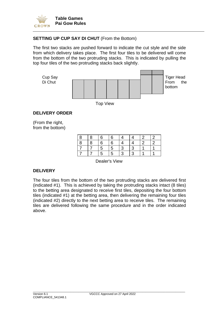

#### **SETTING UP CUP SAY DI CHUT** (From the Bottom)

The first two stacks are pushed forward to indicate the cut style and the side from which delivery takes place. The first four tiles to be delivered will come from the bottom of the two protruding stacks. This is indicated by pulling the top four tiles of the two protruding stacks back slightly.



Top View

#### **DELIVERY ORDER**

(From the right, from the bottom)

| 8 | 6 | 6 |   |   | o | 2 |
|---|---|---|---|---|---|---|
| 8 | 6 | 6 |   |   | 2 | 2 |
|   | 5 | 5 | 3 | 3 |   |   |
|   | 5 | 5 | 3 |   |   |   |

Dealer's View

#### **DELIVERY**

The four tiles from the bottom of the two protruding stacks are delivered first (indicated #1). This is achieved by taking the protruding stacks intact (8 tiles) to the betting area designated to receive first tiles, depositing the four bottom tiles (indicated #1) at the betting area, then delivering the remaining four tiles (indicated #2) directly to the next betting area to receive tiles. The remaining tiles are delivered following the same procedure and in the order indicated above.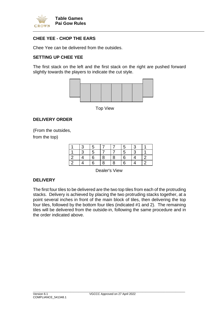

#### **CHEE YEE - CHOP THE EARS**

Chee Yee can be delivered from the outsides.

#### **SETTING UP CHEE YEE**

The first stack on the left and the first stack on the right are pushed forward slightly towards the players to indicate the cut style.



Top View

#### **DELIVERY ORDER**

(From the outsides,

from the top)

|    | 3 | 5 |   |   | 5 | 3 |   |
|----|---|---|---|---|---|---|---|
|    | 3 | 5 |   |   | 5 | 3 |   |
| -2 |   | 6 | 8 | 8 | 6 |   | 2 |
|    |   | 6 | 8 | 8 | 6 |   | っ |

Dealer's View

#### **DELIVERY**

The first four tiles to be delivered are the two top tiles from each of the protruding stacks. Delivery is achieved by placing the two protruding stacks together, at a point several inches in front of the main block of tiles, then delivering the top four tiles, followed by the bottom four tiles (indicated #1 and 2). The remaining tiles will be delivered from the outside-in, following the same procedure and in the order indicated above.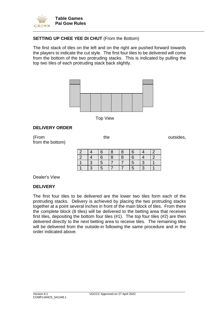

#### **SETTING UP CHEE YEE DI CHUT** (From the Bottom)

The first stack of tiles on the left and on the right are pushed forward towards the players to indicate the cut style. The first four tiles to be delivered will come from the bottom of the two protruding stacks. This is indicated by pulling the top two tiles of each protruding stack back slightly.



Top View

#### **DELIVERY ORDER**

(From the outsides, from the bottom)

| $\sqrt{2}$ |        | 6 | 8 | 8 | 6 |               |   |
|------------|--------|---|---|---|---|---------------|---|
| $\sim$ 2   |        | 6 | 8 | 8 | 6 |               | 2 |
|            | 3      | 5 |   |   | 5 | 3             |   |
|            | ാ<br>w | 5 |   |   | 5 | $\Omega$<br>w |   |

Dealer's View

#### **DELIVERY**

The first four tiles to be delivered are the lower two tiles form each of the protruding stacks. Delivery is achieved by placing the two protruding stacks together at a point several inches in front of the main block of tiles. From there the complete block (8 tiles) will be delivered to the betting area that receives first tiles, depositing the bottom four tiles (#1). The top four tiles (#2) are then delivered directly to the next betting area to receive tiles. The remaining tiles will be delivered from the outside-in following the same procedure and in the order indicated above.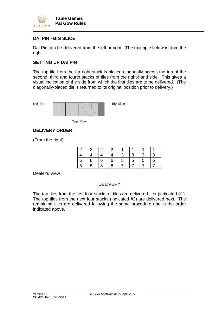

#### **DAI PIN - BIG SLICE**

Dai Pin can be delivered from the left or right. The example below is from the right.

#### **SETTING UP DAI PIN**

The top tile from the far right stack is placed diagonally across the top of the second, third and fourth stacks of tiles from the right-hand side. This gives a visual indication of the side from which the first tiles are to be delivered. (The diagonally-placed tile is returned to its original position prior to delivery.)



#### **DELIVERY ORDER**

(From the right)

|   | n | っ |   |        |                 |   |   |
|---|---|---|---|--------|-----------------|---|---|
|   |   |   |   | ູ<br>J | 3               | 3 | 3 |
| 6 | 6 | 6 | 6 | 5      | $5\overline{)}$ | 5 | 5 |
| 8 |   | 8 | 8 |        |                 |   |   |

Dealer's View

#### **DELIVERY**

The top tiles from the first four stacks of tiles are delivered first (indicated #1). The top tiles from the next four stacks (indicated #2) are delivered next. The remaining tiles are delivered following the same procedure and in the order indicated above.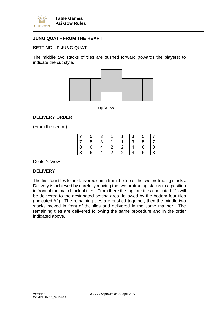

#### **JUNG QUAT - FROM THE HEART**

#### **SETTING UP JUNG QUAT**

The middle two stacks of tiles are pushed forward (towards the players) to indicate the cut style.



Top View

#### **DELIVERY ORDER**

(From the centre)

|   | 5 | -3 |   | ാ<br>- 1 | 5               |   |
|---|---|----|---|----------|-----------------|---|
|   | 5 | 3  |   | ્ર       | $5\phantom{.0}$ |   |
| 8 | 6 |    |   |          | 6               | 8 |
| 8 | հ |    | o |          | 6               | 8 |

Dealer's View

#### **DELIVERY**

The first four tiles to be delivered come from the top of the two protruding stacks. Delivery is achieved by carefully moving the two protruding stacks to a position in front of the main block of tiles. From there the top four tiles (indicated #1) will be delivered to the designated betting area, followed by the bottom four tiles (indicated #2). The remaining tiles are pushed together, then the middle two stacks moved in front of the tiles and delivered in the same manner. The remaining tiles are delivered following the same procedure and in the order indicated above.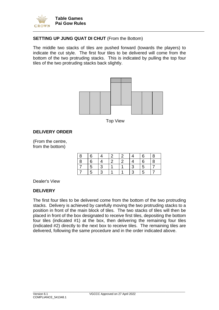

#### **SETTING UP JUNG QUAT DI CHUT** (From the Bottom)

The middle two stacks of tiles are pushed forward (towards the players) to indicate the cut style. The first four tiles to be delivered will come from the bottom of the two protruding stacks. This is indicated by pulling the top four tiles of the two protruding stacks back slightly.



Top View

#### **DELIVERY ORDER**

(From the centre, from the bottom)

| 8 | 6 |   |   |   | 6 | 8 |
|---|---|---|---|---|---|---|
| 8 | 6 |   | റ |   | 6 | 8 |
|   | 5 | 3 |   | 3 | 5 |   |
|   | 5 | 3 |   | 3 | 5 |   |

Dealer's View

#### **DELIVERY**

The first four tiles to be delivered come from the bottom of the two protruding stacks. Delivery is achieved by carefully moving the two protruding stacks to a position in front of the main block of tiles. The two stacks of tiles will then be placed in front of the box designated to receive first tiles, depositing the bottom four tiles (indicated #1) at the box, then delivering the remaining four tiles (indicated #2) directly to the next box to receive tiles. The remaining tiles are delivered, following the same procedure and in the order indicated above.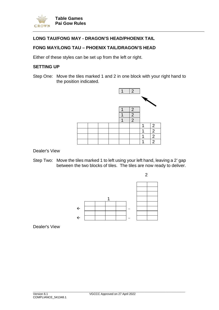

#### **LONG TAU/FONG MAY - DRAGON'S HEAD/PHOENIX TAIL**

#### **FONG MAY/LONG TAU – PHOENIX TAIL/DRAGON'S HEAD**

Either of these styles can be set up from the left or right.

#### **SETTING UP**

Step One: Move the tiles marked 1 and 2 in one block with your right hand to the position indicated.



Dealer's View

Step Two: Move the tiles marked 1 to left using your left hand, leaving a 2' gap between the two blocks of tiles. The tiles are now ready to deliver.



Dealer's View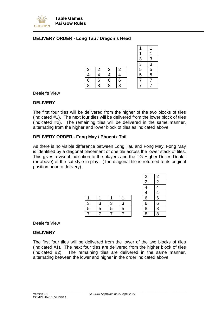

#### **DELIVERY ORDER - Long Tau / Dragon's Head**

|                |   |   |   | $\overline{3}$ | $\overline{3}$ |
|----------------|---|---|---|----------------|----------------|
|                |   |   |   | $\overline{3}$ |                |
| $\overline{2}$ | 2 | 2 | 2 | $\overline{5}$ | $\frac{3}{5}$  |
| $\overline{4}$ |   |   |   | $\overline{5}$ |                |
| $\overline{6}$ | 6 | 6 | 6 | 7              |                |
| $\overline{8}$ | 8 | 8 | 8 |                |                |

| 1              | 1              |
|----------------|----------------|
|                |                |
| $\frac{3}{5}$  | $\frac{3}{3}$  |
|                | 5              |
| $\overline{5}$ | $\overline{5}$ |
| 7              | 7              |
| 7              | 7              |

Dealer's View

#### **DELIVERY**

The first four tiles will be delivered from the higher of the two blocks of tiles (indicated #1). The next four tiles will be delivered from the lower block of tiles (indicated #2). The remaining tiles will be delivered in the same manner, alternating from the higher and lower block of tiles as indicated above.

#### **DELIVERY ORDER - Fong May / Phoenix Tail**

As there is no visible difference between Long Tau and Fong May, Fong May is identified by a diagonal placement of one tile across the lower stack of tiles. This gives a visual indication to the players and the TG Higher Duties Dealer (or above) of the cut style in play. (The diagonal tile is returned to its original position prior to delivery).

|                |   |   |   |                | 4              |
|----------------|---|---|---|----------------|----------------|
|                |   |   |   | $\overline{6}$ | $\overline{6}$ |
| $\overline{3}$ | 3 | 3 | 3 | $\overline{6}$ | $\frac{6}{8}$  |
| $\overline{5}$ | 5 | 5 | 5 | $\overline{8}$ |                |
|                |   |   |   | 8              | $\overline{8}$ |

| $\overline{c}$ | $\overline{c}$ |
|----------------|----------------|
| $\overline{2}$ | $\overline{2}$ |
| 4              | 4              |
| 4              | 4              |
| 6              | 6              |
|                | $\overline{6}$ |
| $\frac{6}{8}$  | $\frac{8}{8}$  |
|                |                |

Dealer's View

#### **DELIVERY**

The first four tiles will be delivered from the lower of the two blocks of tiles (indicated #1). The next four tiles are delivered from the higher block of tiles (indicated #2). The remaining tiles are delivered in the same manner, alternating between the lower and higher in the order indicated above.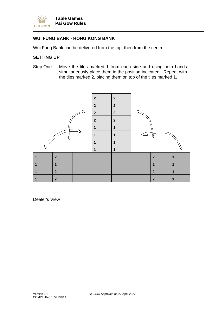

#### **WUI FUNG BANK - HONG KONG BANK**

Wui Fung Bank can be delivered from the top, then from the centre.

#### **SETTING UP**

Step One: Move the tiles marked 1 from each side and using both hands simultaneously place them in the position indicated. Repeat with the tiles marked 2, placing them on top of the tiles marked 1.



Dealer's View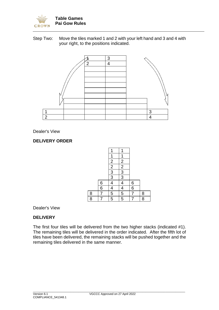

Step Two: Move the tiles marked 1 and 2 with your left hand and 3 and 4 with your right, to the positions indicated.



Dealer's View

#### **DELIVERY ORDER**



#### Dealer's View

#### **DELIVERY**

The first four tiles will be delivered from the two higher stacks (indicated #1). The remaining tiles will be delivered in the order indicated. After the fifth lot of tiles have been delivered, the remaining stacks will be pushed together and the remaining tiles delivered in the same manner.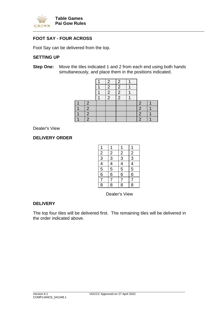

#### **FOOT SAY - FOUR ACROSS**

Foot Say can be delivered from the top.

#### **SETTING UP**

**Step One:** Move the tiles indicated 1 and 2 from each end using both hands simultaneously, and place them in the positions indicated.



Dealer's View

#### **DELIVERY ORDER**

| $\frac{1}{2}$ $\frac{2}{3}$ $\frac{4}{4}$ $\frac{5}{5}$ $\frac{6}{7}$ $\frac{7}{8}$ |                                                                                     |                                                                                     |                                                                                     |
|-------------------------------------------------------------------------------------|-------------------------------------------------------------------------------------|-------------------------------------------------------------------------------------|-------------------------------------------------------------------------------------|
|                                                                                     | $\frac{2}{3}$ $\frac{3}{4}$ $\frac{4}{5}$ $\frac{6}{6}$ $\frac{7}{7}$ $\frac{8}{8}$ | $\frac{2}{3}$ $\frac{3}{4}$ $\frac{4}{5}$ $\frac{6}{6}$ $\frac{7}{7}$ $\frac{8}{8}$ | $\frac{2}{3}$ $\frac{3}{4}$ $\frac{4}{5}$ $\frac{6}{6}$ $\frac{7}{7}$ $\frac{8}{8}$ |
|                                                                                     |                                                                                     |                                                                                     |                                                                                     |
|                                                                                     |                                                                                     |                                                                                     |                                                                                     |
|                                                                                     |                                                                                     |                                                                                     |                                                                                     |
|                                                                                     |                                                                                     |                                                                                     |                                                                                     |
|                                                                                     |                                                                                     |                                                                                     |                                                                                     |

Dealer's View

#### **DELIVERY**

The top four tiles will be delivered first. The remaining tiles will be delivered in the order indicated above.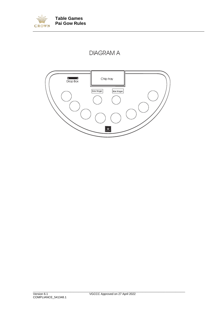<span id="page-52-0"></span>

### **DIAGRAM A**